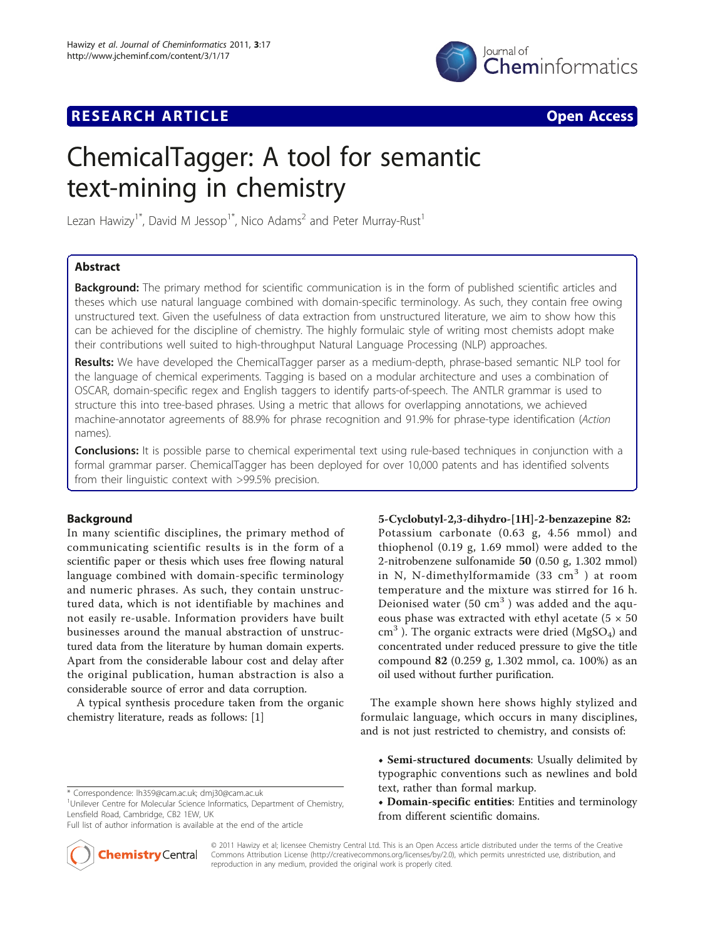## **RESEARCH ARTICLE Example 2018 12:00 Department of the Contract Open Access**



# ChemicalTagger: A tool for semantic text-mining in chemistry

Lezan Hawizy<sup>1\*</sup>, David M Jessop<sup>1\*</sup>, Nico Adams<sup>2</sup> and Peter Murray-Rust<sup>1</sup>

## Abstract

**Background:** The primary method for scientific communication is in the form of published scientific articles and theses which use natural language combined with domain-specific terminology. As such, they contain free owing unstructured text. Given the usefulness of data extraction from unstructured literature, we aim to show how this can be achieved for the discipline of chemistry. The highly formulaic style of writing most chemists adopt make their contributions well suited to high-throughput Natural Language Processing (NLP) approaches.

Results: We have developed the ChemicalTagger parser as a medium-depth, phrase-based semantic NLP tool for the language of chemical experiments. Tagging is based on a modular architecture and uses a combination of OSCAR, domain-specific regex and English taggers to identify parts-of-speech. The ANTLR grammar is used to structure this into tree-based phrases. Using a metric that allows for overlapping annotations, we achieved machine-annotator agreements of 88.9% for phrase recognition and 91.9% for phrase-type identification (Action names).

**Conclusions:** It is possible parse to chemical experimental text using rule-based techniques in conjunction with a formal grammar parser. ChemicalTagger has been deployed for over 10,000 patents and has identified solvents from their linguistic context with >99.5% precision.

## Background

In many scientific disciplines, the primary method of communicating scientific results is in the form of a scientific paper or thesis which uses free flowing natural language combined with domain-specific terminology and numeric phrases. As such, they contain unstructured data, which is not identifiable by machines and not easily re-usable. Information providers have built businesses around the manual abstraction of unstructured data from the literature by human domain experts. Apart from the considerable labour cost and delay after the original publication, human abstraction is also a considerable source of error and data corruption.

A typical synthesis procedure taken from the organic chemistry literature, reads as follows: [\[1](#page-12-0)]



Potassium carbonate (0.63 g, 4.56 mmol) and thiophenol (0.19 g, 1.69 mmol) were added to the 2-nitrobenzene sulfonamide 50 (0.50 g, 1.302 mmol) in N, N-dimethylformamide  $(33 \text{ cm}^3)$  at room temperature and the mixture was stirred for 16 h. Deionised water (50  $\text{cm}^3$ ) was added and the aqueous phase was extracted with ethyl acetate ( $5 \times 50$  $\text{cm}^3$ ). The organic extracts were dried (MgSO<sub>4</sub>) and concentrated under reduced pressure to give the title compound 82 (0.259 g, 1.302 mmol, ca. 100%) as an oil used without further purification.

The example shown here shows highly stylized and formulaic language, which occurs in many disciplines, and is not just restricted to chemistry, and consists of:

• Semi-structured documents: Usually delimited by typographic conventions such as newlines and bold text, rather than formal markup.

• Domain-specific entities: Entities and terminology from different scientific domains.



© 2011 Hawizy et al; licensee Chemistry Central Ltd. This is an Open Access article distributed under the terms of the Creative Commons Attribution License [\(http://creativecommons.org/licenses/by/2.0](http://creativecommons.org/licenses/by/2.0)), which permits unrestricted use, distribution, and reproduction in any medium, provided the original work is properly cited.

<sup>\*</sup> Correspondence: [lh359@cam.ac.uk;](mailto:lh359@cam.ac.uk) [dmj30@cam.ac.uk](mailto:dmj30@cam.ac.uk)

<sup>&</sup>lt;sup>1</sup>Unilever Centre for Molecular Science Informatics, Department of Chemistry, Lensfield Road, Cambridge, CB2 1EW, UK

Full list of author information is available at the end of the article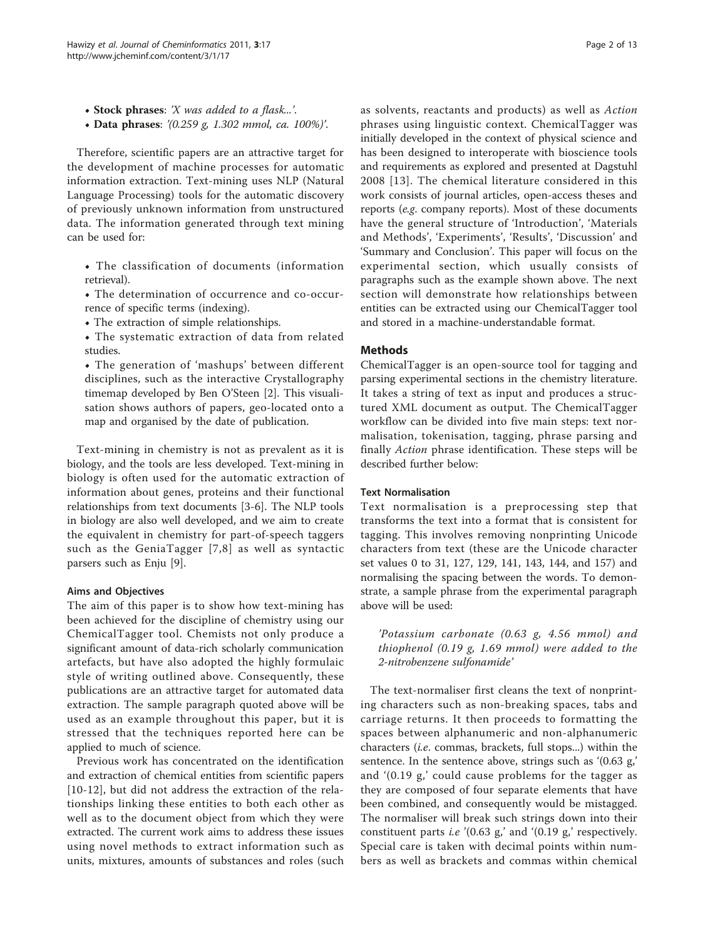- Stock phrases: 'X was added to a flask...'.
- Data phrases: '(0.259 g, 1.302 mmol, ca. 100%)'.

Therefore, scientific papers are an attractive target for the development of machine processes for automatic information extraction. Text-mining uses NLP (Natural Language Processing) tools for the automatic discovery of previously unknown information from unstructured data. The information generated through text mining can be used for:

- The classification of documents (information retrieval).
- The determination of occurrence and co-occurrence of specific terms (indexing).
- The extraction of simple relationships.
- The systematic extraction of data from related studies.

• The generation of 'mashups' between different disciplines, such as the interactive Crystallography timemap developed by Ben O'Steen [[2\]](#page-12-0). This visualisation shows authors of papers, geo-located onto a map and organised by the date of publication.

Text-mining in chemistry is not as prevalent as it is biology, and the tools are less developed. Text-mining in biology is often used for the automatic extraction of information about genes, proteins and their functional relationships from text documents [[3-6](#page-12-0)]. The NLP tools in biology are also well developed, and we aim to create the equivalent in chemistry for part-of-speech taggers such as the GeniaTagger [[7](#page-12-0),[8](#page-12-0)] as well as syntactic parsers such as Enju [\[9\]](#page-12-0).

#### Aims and Objectives

The aim of this paper is to show how text-mining has been achieved for the discipline of chemistry using our ChemicalTagger tool. Chemists not only produce a significant amount of data-rich scholarly communication artefacts, but have also adopted the highly formulaic style of writing outlined above. Consequently, these publications are an attractive target for automated data extraction. The sample paragraph quoted above will be used as an example throughout this paper, but it is stressed that the techniques reported here can be applied to much of science.

Previous work has concentrated on the identification and extraction of chemical entities from scientific papers [[10](#page-12-0)-[12\]](#page-12-0), but did not address the extraction of the relationships linking these entities to both each other as well as to the document object from which they were extracted. The current work aims to address these issues using novel methods to extract information such as units, mixtures, amounts of substances and roles (such as solvents, reactants and products) as well as Action phrases using linguistic context. ChemicalTagger was initially developed in the context of physical science and has been designed to interoperate with bioscience tools and requirements as explored and presented at Dagstuhl 2008 [[13](#page-12-0)]. The chemical literature considered in this work consists of journal articles, open-access theses and reports (e.g. company reports). Most of these documents have the general structure of 'Introduction', 'Materials and Methods', 'Experiments', 'Results', 'Discussion' and 'Summary and Conclusion'. This paper will focus on the experimental section, which usually consists of paragraphs such as the example shown above. The next section will demonstrate how relationships between entities can be extracted using our ChemicalTagger tool and stored in a machine-understandable format.

## Methods

ChemicalTagger is an open-source tool for tagging and parsing experimental sections in the chemistry literature. It takes a string of text as input and produces a structured XML document as output. The ChemicalTagger workflow can be divided into five main steps: text normalisation, tokenisation, tagging, phrase parsing and finally Action phrase identification. These steps will be described further below:

#### Text Normalisation

Text normalisation is a preprocessing step that transforms the text into a format that is consistent for tagging. This involves removing nonprinting Unicode characters from text (these are the Unicode character set values 0 to 31, 127, 129, 141, 143, 144, and 157) and normalising the spacing between the words. To demonstrate, a sample phrase from the experimental paragraph above will be used:

'Potassium carbonate (0.63 g, 4.56 mmol) and thiophenol  $(0.19 \text{ g}, 1.69 \text{ mmol})$  were added to the 2-nitrobenzene sulfonamide'

The text-normaliser first cleans the text of nonprinting characters such as non-breaking spaces, tabs and carriage returns. It then proceeds to formatting the spaces between alphanumeric and non-alphanumeric characters (i.e. commas, brackets, full stops...) within the sentence. In the sentence above, strings such as '(0.63 g,' and '(0.19 g,' could cause problems for the tagger as they are composed of four separate elements that have been combined, and consequently would be mistagged. The normaliser will break such strings down into their constituent parts *i.e*  $'(0.63 \text{ g})'$  and  $'(0.19 \text{ g})'$  respectively. Special care is taken with decimal points within numbers as well as brackets and commas within chemical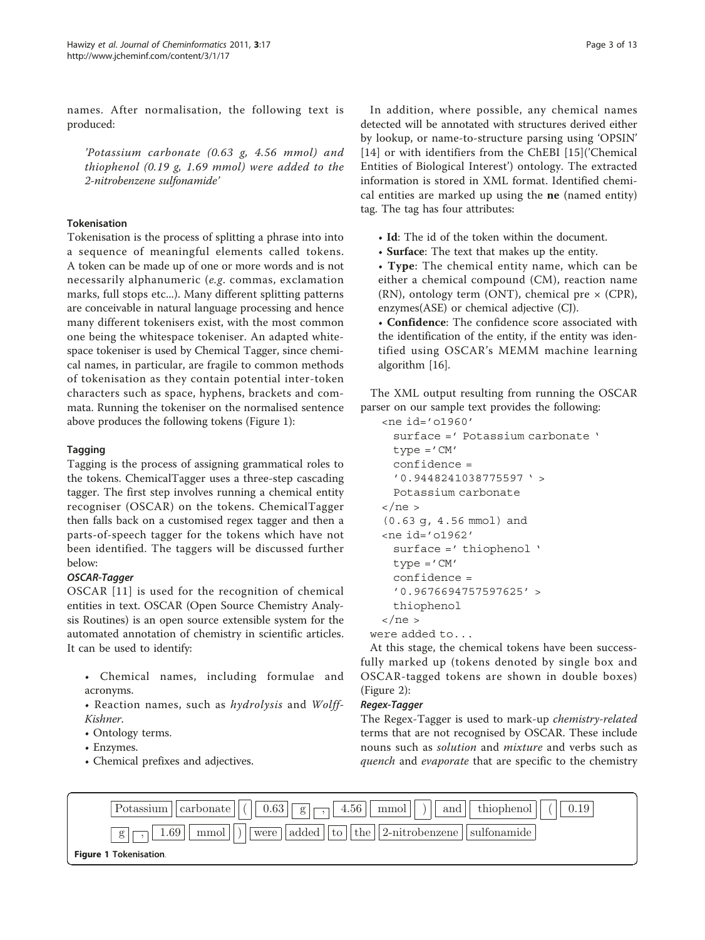names. After normalisation, the following text is produced:

'Potassium carbonate (0.63 g, 4.56 mmol) and thiophenol (0.19 g, 1.69 mmol) were added to the 2-nitrobenzene sulfonamide'

#### Tokenisation

Tokenisation is the process of splitting a phrase into into a sequence of meaningful elements called tokens. A token can be made up of one or more words and is not necessarily alphanumeric (e.g. commas, exclamation marks, full stops etc...). Many different splitting patterns are conceivable in natural language processing and hence many different tokenisers exist, with the most common one being the whitespace tokeniser. An adapted whitespace tokeniser is used by Chemical Tagger, since chemical names, in particular, are fragile to common methods of tokenisation as they contain potential inter-token characters such as space, hyphens, brackets and commata. Running the tokeniser on the normalised sentence above produces the following tokens (Figure 1):

#### **Tagging**

Tagging is the process of assigning grammatical roles to the tokens. ChemicalTagger uses a three-step cascading tagger. The first step involves running a chemical entity recogniser (OSCAR) on the tokens. ChemicalTagger then falls back on a customised regex tagger and then a parts-of-speech tagger for the tokens which have not been identified. The taggers will be discussed further below:

#### OSCAR-Tagger

OSCAR [[11\]](#page-12-0) is used for the recognition of chemical entities in text. OSCAR (Open Source Chemistry Analysis Routines) is an open source extensible system for the automated annotation of chemistry in scientific articles. It can be used to identify:

• Chemical names, including formulae and acronyms.

• Reaction names, such as hydrolysis and Wolff-Kishner.

- Ontology terms.
- Enzymes.
- Chemical prefixes and adjectives.

In addition, where possible, any chemical names detected will be annotated with structures derived either by lookup, or name-to-structure parsing using 'OPSIN' [[14](#page-12-0)] or with identifiers from the ChEBI [[15](#page-12-0)]('Chemical Entities of Biological Interest') ontology. The extracted information is stored in XML format. Identified chemical entities are marked up using the ne (named entity) tag. The tag has four attributes:

- Id: The id of the token within the document.
- Surface: The text that makes up the entity.

• Type: The chemical entity name, which can be either a chemical compound (CM), reaction name (RN), ontology term (ONT), chemical pre  $\times$  (CPR), enzymes(ASE) or chemical adjective (CJ).

• Confidence: The confidence score associated with the identification of the entity, if the entity was identified using OSCAR's MEMM machine learning algorithm [[16](#page-12-0)].

The XML output resulting from running the OSCAR parser on our sample text provides the following:

```
<ne id='o1960'
   surface =' Potassium carbonate '
   type ='CM'
   confidence =
    '0.9448241038775597 ' >
   Potassium carbonate
  \langlene >
  (0.63 g, 4.56 mmol) and
  <ne id='o1962'
   surface =' thiophenol '
   type = 'CM'confidence =
    '0.9676694757597625' >
   thiophenol
  \langlene >
were added to...
```
At this stage, the chemical tokens have been successfully marked up (tokens denoted by single box and OSCAR-tagged tokens are shown in double boxes) (Figure [2\)](#page-3-0):

#### Regex-Tagger

The Regex-Tagger is used to mark-up chemistry-related terms that are not recognised by OSCAR. These include nouns such as solution and mixture and verbs such as quench and evaporate that are specific to the chemistry

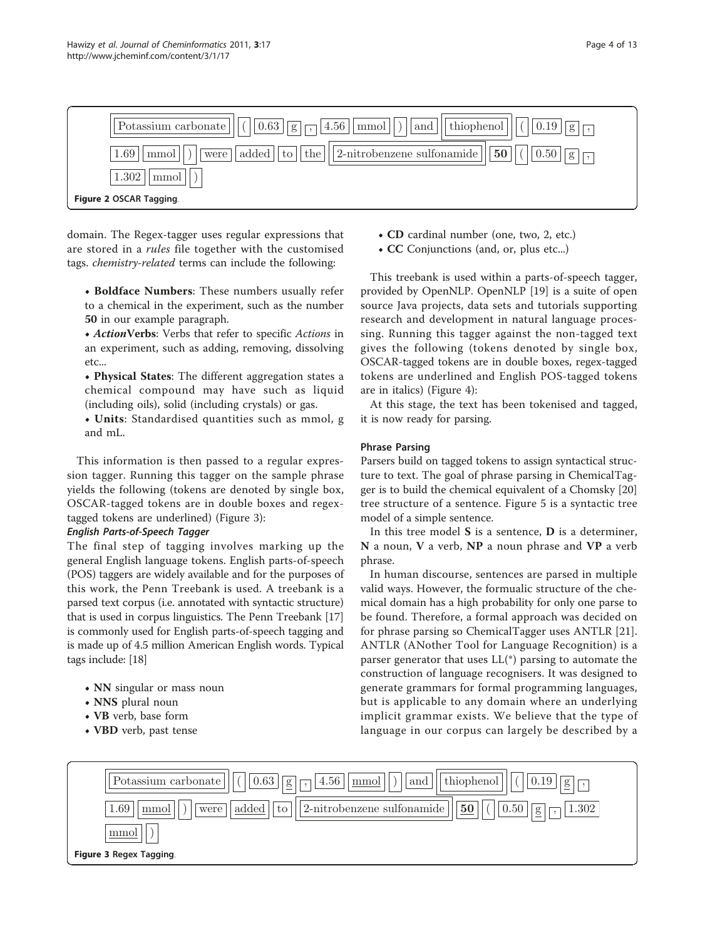<span id="page-3-0"></span>

domain. The Regex-tagger uses regular expressions that are stored in a rules file together with the customised tags. chemistry-related terms can include the following:

• Boldface Numbers: These numbers usually refer to a chemical in the experiment, such as the number 50 in our example paragraph.

• ActionVerbs: Verbs that refer to specific Actions in an experiment, such as adding, removing, dissolving etc...

• Physical States: The different aggregation states a chemical compound may have such as liquid (including oils), solid (including crystals) or gas.

• Units: Standardised quantities such as mmol, g and mL.

This information is then passed to a regular expression tagger. Running this tagger on the sample phrase yields the following (tokens are denoted by single box, OSCAR-tagged tokens are in double boxes and regextagged tokens are underlined) (Figure 3):

#### English Parts-of-Speech Tagger

The final step of tagging involves marking up the general English language tokens. English parts-of-speech (POS) taggers are widely available and for the purposes of this work, the Penn Treebank is used. A treebank is a parsed text corpus (i.e. annotated with syntactic structure) that is used in corpus linguistics. The Penn Treebank [[17](#page-12-0)] is commonly used for English parts-of-speech tagging and is made up of 4.5 million American English words. Typical tags include: [[18](#page-12-0)]

- NN singular or mass noun
- NNS plural noun
- VB verb, base form
- VBD verb, past tense
- CD cardinal number (one, two, 2, etc.)
- CC Conjunctions (and, or, plus etc...)

This treebank is used within a parts-of-speech tagger, provided by OpenNLP. OpenNLP [[19\]](#page-12-0) is a suite of open source Java projects, data sets and tutorials supporting research and development in natural language processing. Running this tagger against the non-tagged text gives the following (tokens denoted by single box, OSCAR-tagged tokens are in double boxes, regex-tagged tokens are underlined and English POS-tagged tokens are in italics) (Figure [4](#page-4-0)):

At this stage, the text has been tokenised and tagged, it is now ready for parsing.

#### Phrase Parsing

Parsers build on tagged tokens to assign syntactical structure to text. The goal of phrase parsing in ChemicalTagger is to build the chemical equivalent of a Chomsky [[20](#page-12-0)] tree structure of a sentence. Figure [5](#page-4-0) is a syntactic tree model of a simple sentence.

In this tree model S is a sentence, D is a determiner, N a noun, V a verb, NP a noun phrase and VP a verb phrase.

In human discourse, sentences are parsed in multiple valid ways. However, the formualic structure of the chemical domain has a high probability for only one parse to be found. Therefore, a formal approach was decided on for phrase parsing so ChemicalTagger uses ANTLR [\[21](#page-12-0)]. ANTLR (ANother Tool for Language Recognition) is a parser generator that uses LL(\*) parsing to automate the construction of language recognisers. It was designed to generate grammars for formal programming languages, but is applicable to any domain where an underlying implicit grammar exists. We believe that the type of language in our corpus can largely be described by a

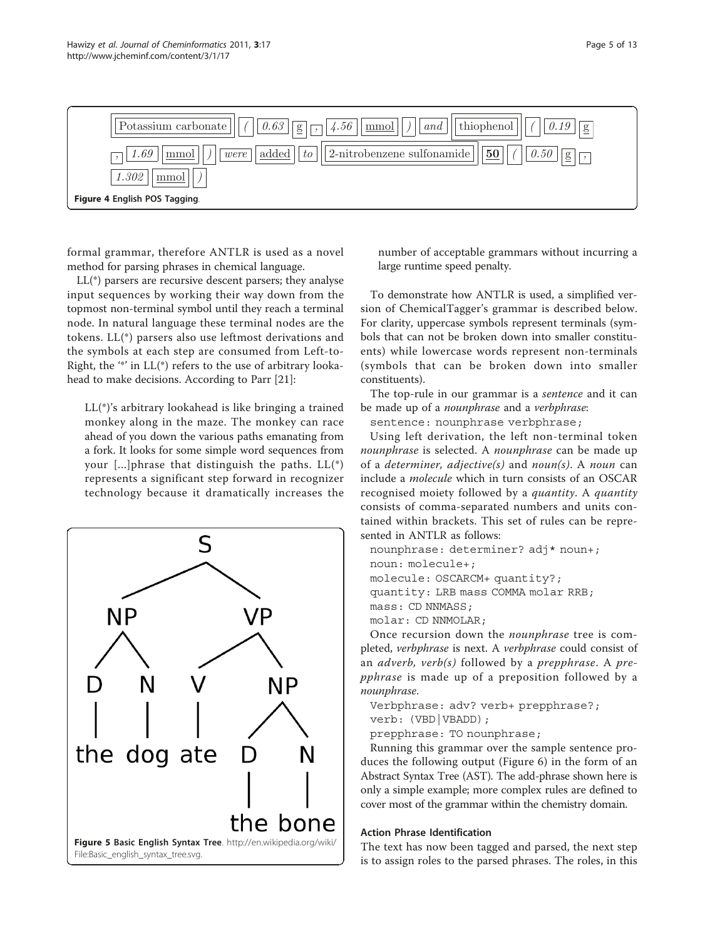<span id="page-4-0"></span>

formal grammar, therefore ANTLR is used as a novel method for parsing phrases in chemical language.

LL(\*) parsers are recursive descent parsers; they analyse input sequences by working their way down from the topmost non-terminal symbol until they reach a terminal node. In natural language these terminal nodes are the tokens. LL(\*) parsers also use leftmost derivations and the symbols at each step are consumed from Left-to-Right, the '\*' in LL(\*) refers to the use of arbitrary lookahead to make decisions. According to Parr [[21\]](#page-12-0):

LL(\*)'s arbitrary lookahead is like bringing a trained monkey along in the maze. The monkey can race ahead of you down the various paths emanating from a fork. It looks for some simple word sequences from your [...]phrase that distinguish the paths. LL(\*) represents a significant step forward in recognizer technology because it dramatically increases the



number of acceptable grammars without incurring a large runtime speed penalty.

To demonstrate how ANTLR is used, a simplified version of ChemicalTagger's grammar is described below. For clarity, uppercase symbols represent terminals (symbols that can not be broken down into smaller constituents) while lowercase words represent non-terminals (symbols that can be broken down into smaller constituents).

The top-rule in our grammar is a *sentence* and it can be made up of a nounphrase and a verbphrase:

sentence: nounphrase verbphrase;

Using left derivation, the left non-terminal token nounphrase is selected. A nounphrase can be made up of a *determiner, adjective(s)* and  $noun(s)$ . A noun can include a molecule which in turn consists of an OSCAR recognised moiety followed by a quantity. A quantity consists of comma-separated numbers and units contained within brackets. This set of rules can be represented in ANTLR as follows:

nounphrase: determiner? adj\* noun+; noun: molecule+; molecule: OSCARCM+ quantity?; quantity: LRB mass COMMA molar RRB; mass: CD NNMASS; molar: CD NNMOLAR;

Once recursion down the nounphrase tree is completed, verbphrase is next. A verbphrase could consist of an *adverb*,  $verb(s)$  followed by a *prepphrase*. A *pre*pphrase is made up of a preposition followed by a nounphrase.

Verbphrase: adv? verb+ prepphrase?;

verb: (VBD|VBADD);

prepphrase: TO nounphrase;

Running this grammar over the sample sentence produces the following output (Figure [6\)](#page-5-0) in the form of an Abstract Syntax Tree (AST). The add-phrase shown here is only a simple example; more complex rules are defined to cover most of the grammar within the chemistry domain.

#### Action Phrase Identification

The text has now been tagged and parsed, the next step is to assign roles to the parsed phrases. The roles, in this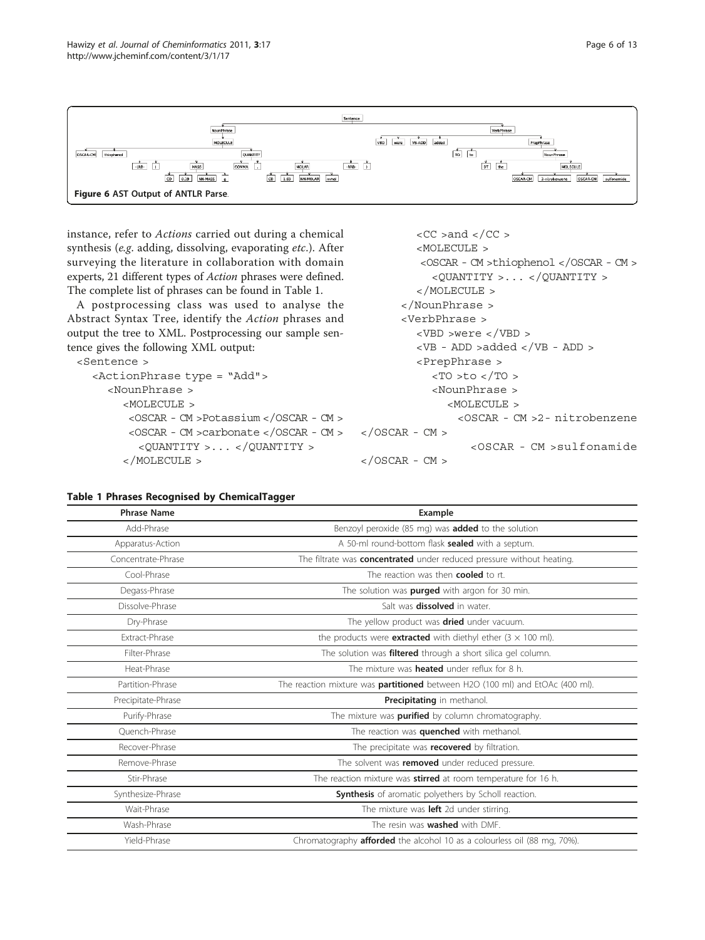<span id="page-5-0"></span>

instance, refer to Actions carried out during a chemical synthesis (e.g. adding, dissolving, evaporating etc.). After surveying the literature in collaboration with domain experts, 21 different types of Action phrases were defined. The complete list of phrases can be found in Table 1.

A postprocessing class was used to analyse the Abstract Syntax Tree, identify the Action phrases and output the tree to XML. Postprocessing our sample sentence gives the following XML output:

<Sentence >

```
<ActionPhrase type = "Add">
  <NounPhrase >
    <MOLECULE >
      <OSCAR - CM >Potassium </OSCAR - CM >
     <OSCAR - CM >carbonate </OSCAR - CM >
       <QUANTITY >... </QUANTITY >
    </MOLECULE >
```

```
< CC > and < / CC ><MOLECULE >
         <OSCAR - CM >thiophenol </OSCAR - CM >
           <QUANTITY >... </QUANTITY >
         </MOLECULE >
      </NounPhrase >
      <VerbPhrase >
         <VBD >were </VBD >
         <VB - ADD >added </VB - ADD >
         <PrepPhrase >
           < TO > to < / TO ><NounPhrase >
              <MOLECULE >
                <OSCAR - CM >2- nitrobenzene
</OSCAR - CM >
                  <OSCAR - CM >sulfonamide
</OSCAR - CM >
```
## Table 1 Phrases Recognised by ChemicalTagger

| <b>Phrase Name</b> | Example                                                                              |  |  |  |  |
|--------------------|--------------------------------------------------------------------------------------|--|--|--|--|
| Add-Phrase         | Benzoyl peroxide (85 mg) was <b>added</b> to the solution                            |  |  |  |  |
| Apparatus-Action   | A 50-ml round-bottom flask sealed with a septum.                                     |  |  |  |  |
| Concentrate-Phrase | The filtrate was <b>concentrated</b> under reduced pressure without heating.         |  |  |  |  |
| Cool-Phrase        | The reaction was then <b>cooled</b> to rt.                                           |  |  |  |  |
| Degass-Phrase      | The solution was <b>purged</b> with argon for 30 min.                                |  |  |  |  |
| Dissolve-Phrase    | Salt was <b>dissolved</b> in water.                                                  |  |  |  |  |
| Dry-Phrase         | The yellow product was dried under vacuum.                                           |  |  |  |  |
| Extract-Phrase     | the products were <b>extracted</b> with diethyl ether $(3 \times 100 \text{ ml})$ .  |  |  |  |  |
| Filter-Phrase      | The solution was filtered through a short silica gel column.                         |  |  |  |  |
| Heat-Phrase        | The mixture was <b>heated</b> under reflux for 8 h.                                  |  |  |  |  |
| Partition-Phrase   | The reaction mixture was <b>partitioned</b> between H2O (100 ml) and EtOAc (400 ml). |  |  |  |  |
| Precipitate-Phrase | Precipitating in methanol.                                                           |  |  |  |  |
| Purify-Phrase      | The mixture was <b>purified</b> by column chromatography.                            |  |  |  |  |
| Quench-Phrase      | The reaction was <b>quenched</b> with methanol.                                      |  |  |  |  |
| Recover-Phrase     | The precipitate was <b>recovered</b> by filtration.                                  |  |  |  |  |
| Remove-Phrase      | The solvent was removed under reduced pressure.                                      |  |  |  |  |
| Stir-Phrase        | The reaction mixture was stirred at room temperature for 16 h.                       |  |  |  |  |
| Synthesize-Phrase  | Synthesis of aromatic polyethers by Scholl reaction.                                 |  |  |  |  |
| Wait-Phrase        | The mixture was left 2d under stirring.                                              |  |  |  |  |
| Wash-Phrase        | The resin was <b>washed</b> with DMF.                                                |  |  |  |  |
| Yield-Phrase       | Chromatography <b>afforded</b> the alcohol 10 as a colourless oil (88 mg, 70%).      |  |  |  |  |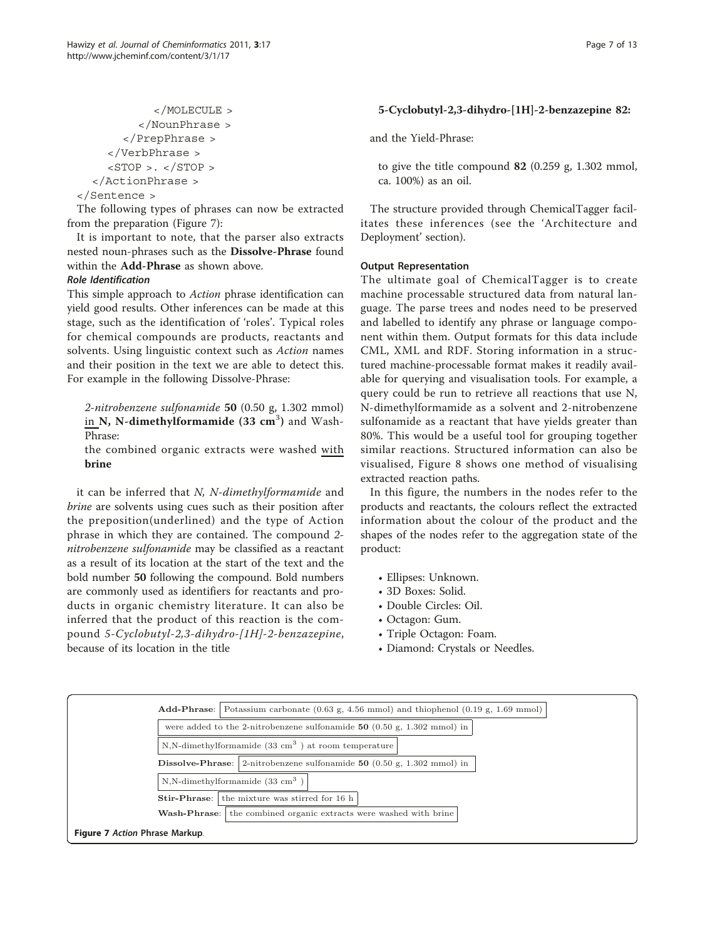```
</MOLECULE >
         </NounPhrase >
       </PrepPhrase >
    </VerbPhrase >
    <STOP >. </STOP >
  </ActionPhrase >
</Sentence >
```
The following types of phrases can now be extracted from the preparation (Figure 7):

It is important to note, that the parser also extracts nested noun-phrases such as the Dissolve-Phrase found within the Add-Phrase as shown above.

#### Role Identification

This simple approach to Action phrase identification can yield good results. Other inferences can be made at this stage, such as the identification of 'roles'. Typical roles for chemical compounds are products, reactants and solvents. Using linguistic context such as *Action* names and their position in the text we are able to detect this. For example in the following Dissolve-Phrase:

2-nitrobenzene sulfonamide 50 (0.50 g, 1.302 mmol) in N, N-dimethylformamide (33  $\text{cm}^3$ ) and Wash-Phrase:

the combined organic extracts were washed with brine

it can be inferred that  $N$ ,  $N$ -dimethylformamide and brine are solvents using cues such as their position after the preposition(underlined) and the type of Action phrase in which they are contained. The compound 2 nitrobenzene sulfonamide may be classified as a reactant as a result of its location at the start of the text and the bold number 50 following the compound. Bold numbers are commonly used as identifiers for reactants and products in organic chemistry literature. It can also be inferred that the product of this reaction is the compound 5-Cyclobutyl-2,3-dihydro-[1H]-2-benzazepine, because of its location in the title

#### 5-Cyclobutyl-2,3-dihydro-[1H]-2-benzazepine 82:

and the Yield-Phrase:

to give the title compound 82 (0.259 g, 1.302 mmol, ca. 100%) as an oil.

The structure provided through ChemicalTagger facilitates these inferences (see the 'Architecture and Deployment' section).

#### Output Representation

The ultimate goal of ChemicalTagger is to create machine processable structured data from natural language. The parse trees and nodes need to be preserved and labelled to identify any phrase or language component within them. Output formats for this data include CML, XML and RDF. Storing information in a structured machine-processable format makes it readily available for querying and visualisation tools. For example, a query could be run to retrieve all reactions that use N, N-dimethylformamide as a solvent and 2-nitrobenzene sulfonamide as a reactant that have yields greater than 80%. This would be a useful tool for grouping together similar reactions. Structured information can also be visualised, Figure [8](#page-7-0) shows one method of visualising extracted reaction paths.

In this figure, the numbers in the nodes refer to the products and reactants, the colours reflect the extracted information about the colour of the product and the shapes of the nodes refer to the aggregation state of the product:

- Ellipses: Unknown.
- 3D Boxes: Solid.
- Double Circles: Oil.
- Octagon: Gum.
- Triple Octagon: Foam.
- Diamond: Crystals or Needles.

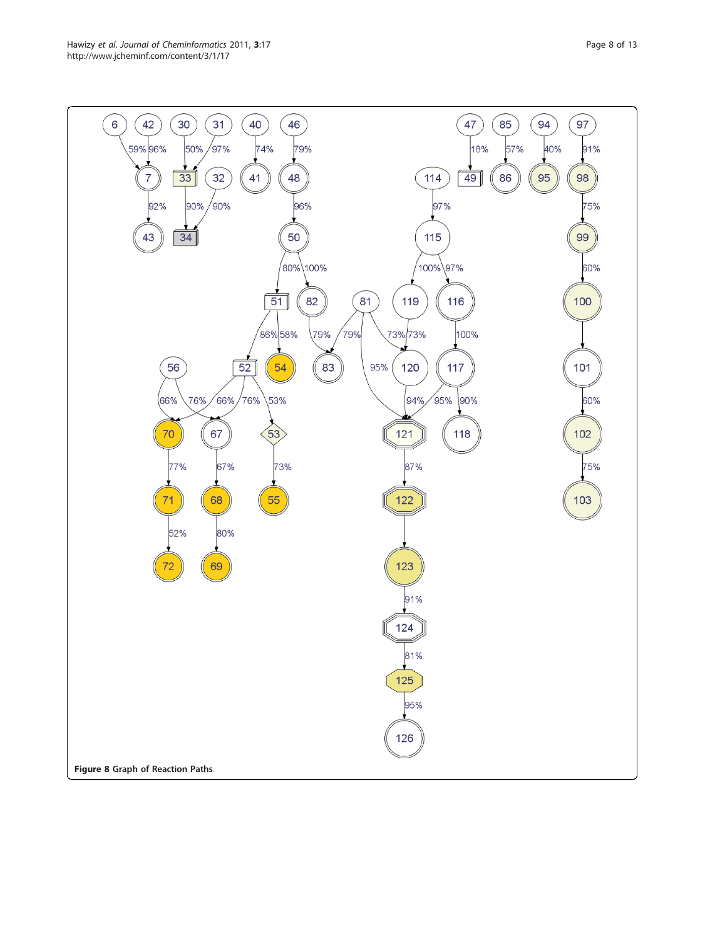<span id="page-7-0"></span>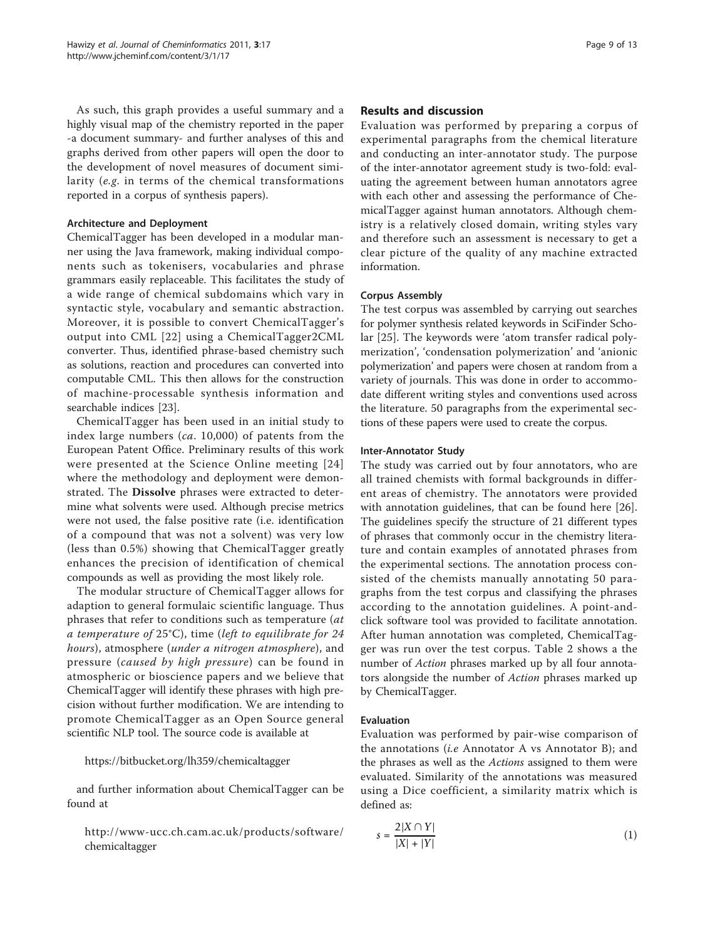As such, this graph provides a useful summary and a highly visual map of the chemistry reported in the paper -a document summary- and further analyses of this and graphs derived from other papers will open the door to the development of novel measures of document similarity (e.g. in terms of the chemical transformations reported in a corpus of synthesis papers).

#### Architecture and Deployment

ChemicalTagger has been developed in a modular manner using the Java framework, making individual components such as tokenisers, vocabularies and phrase grammars easily replaceable. This facilitates the study of a wide range of chemical subdomains which vary in syntactic style, vocabulary and semantic abstraction. Moreover, it is possible to convert ChemicalTagger's output into CML [[22](#page-12-0)] using a ChemicalTagger2CML converter. Thus, identified phrase-based chemistry such as solutions, reaction and procedures can converted into computable CML. This then allows for the construction of machine-processable synthesis information and searchable indices [[23](#page-12-0)].

ChemicalTagger has been used in an initial study to index large numbers (ca. 10,000) of patents from the European Patent Office. Preliminary results of this work were presented at the Science Online meeting [[24](#page-12-0)] where the methodology and deployment were demonstrated. The Dissolve phrases were extracted to determine what solvents were used. Although precise metrics were not used, the false positive rate (i.e. identification of a compound that was not a solvent) was very low (less than 0.5%) showing that ChemicalTagger greatly enhances the precision of identification of chemical compounds as well as providing the most likely role.

The modular structure of ChemicalTagger allows for adaption to general formulaic scientific language. Thus phrases that refer to conditions such as temperature (at a temperature of 25°C), time (left to equilibrate for 24 hours), atmosphere (under a nitrogen atmosphere), and pressure (caused by high pressure) can be found in atmospheric or bioscience papers and we believe that ChemicalTagger will identify these phrases with high precision without further modification. We are intending to promote ChemicalTagger as an Open Source general scientific NLP tool. The source code is available at

<https://bitbucket.org/lh359/chemicaltagger>

and further information about ChemicalTagger can be found at

[http://www-ucc.ch.cam.ac.uk/products/software/](http://www-ucc.ch.cam.ac.uk/products/software/chemicaltagger) [chemicaltagger](http://www-ucc.ch.cam.ac.uk/products/software/chemicaltagger)

#### Results and discussion

Evaluation was performed by preparing a corpus of experimental paragraphs from the chemical literature and conducting an inter-annotator study. The purpose of the inter-annotator agreement study is two-fold: evaluating the agreement between human annotators agree with each other and assessing the performance of ChemicalTagger against human annotators. Although chemistry is a relatively closed domain, writing styles vary and therefore such an assessment is necessary to get a clear picture of the quality of any machine extracted information.

## Corpus Assembly

The test corpus was assembled by carrying out searches for polymer synthesis related keywords in SciFinder Scholar [[25\]](#page-12-0). The keywords were 'atom transfer radical polymerization', 'condensation polymerization' and 'anionic polymerization' and papers were chosen at random from a variety of journals. This was done in order to accommodate different writing styles and conventions used across the literature. 50 paragraphs from the experimental sections of these papers were used to create the corpus.

#### Inter-Annotator Study

The study was carried out by four annotators, who are all trained chemists with formal backgrounds in different areas of chemistry. The annotators were provided with annotation guidelines, that can be found here [\[26](#page-12-0)]. The guidelines specify the structure of 21 different types of phrases that commonly occur in the chemistry literature and contain examples of annotated phrases from the experimental sections. The annotation process consisted of the chemists manually annotating 50 paragraphs from the test corpus and classifying the phrases according to the annotation guidelines. A point-andclick software tool was provided to facilitate annotation. After human annotation was completed, ChemicalTagger was run over the test corpus. Table [2](#page-9-0) shows a the number of *Action* phrases marked up by all four annotators alongside the number of Action phrases marked up by ChemicalTagger.

## Evaluation

Evaluation was performed by pair-wise comparison of the annotations (i.e Annotator A vs Annotator B); and the phrases as well as the Actions assigned to them were evaluated. Similarity of the annotations was measured using a Dice coefficient, a similarity matrix which is defined as:

$$
s = \frac{2|X \cap Y|}{|X| + |Y|}
$$
 (1)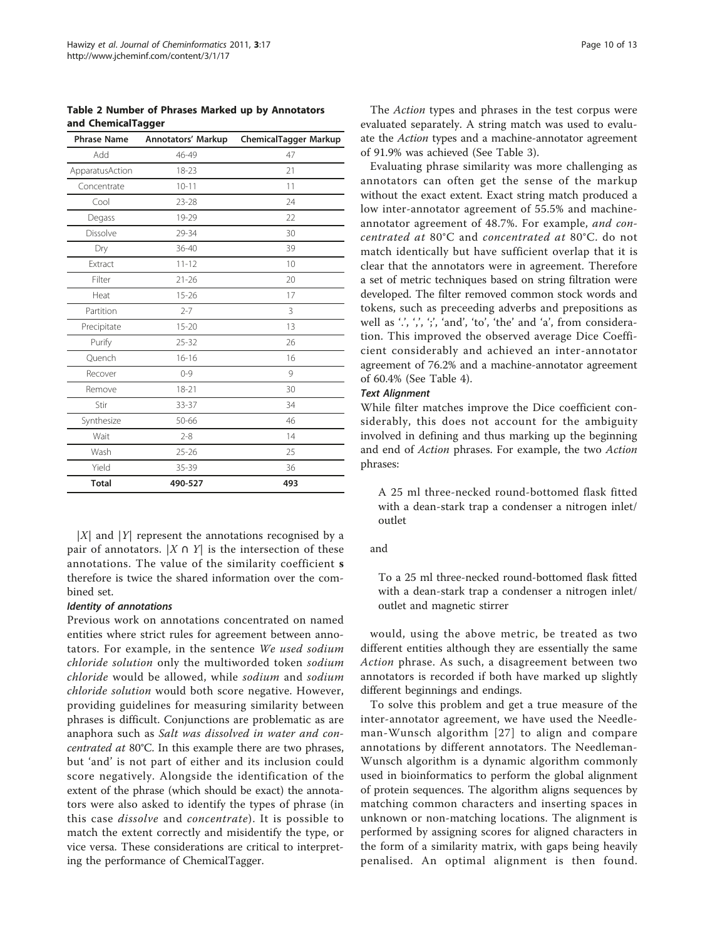<span id="page-9-0"></span>Table 2 Number of Phrases Marked up by Annotators and ChemicalTagger

| <b>Phrase Name</b> | <b>Annotators' Markup</b> | ChemicalTagger Markup |  |  |
|--------------------|---------------------------|-----------------------|--|--|
| Add                | 46-49                     | 47                    |  |  |
| ApparatusAction    | 18-23                     | 21                    |  |  |
| Concentrate        | $10 - 11$                 | 11                    |  |  |
| Cool               | $23 - 28$                 | 24                    |  |  |
| Degass             | 19-29                     | 22                    |  |  |
| Dissolve           | 29-34                     | 30                    |  |  |
| Dry                | 36-40                     | 39                    |  |  |
| Extract            | $11 - 12$                 | 10                    |  |  |
| Filter             | $21 - 26$                 | 20                    |  |  |
| Heat               | $15 - 26$                 | 17                    |  |  |
| Partition          | $2 - 7$                   | 3                     |  |  |
| Precipitate        | $15 - 20$                 | 13                    |  |  |
| Purify             | $25 - 32$                 | 26                    |  |  |
| Quench             | $16 - 16$                 | 16                    |  |  |
| Recover            | $() - Q$                  | 9                     |  |  |
| Remove             | $18 - 21$                 | 30                    |  |  |
| Stir               | 33-37                     | 34                    |  |  |
| Synthesize         | 50-66                     | 46                    |  |  |
| Wait               | $2 - 8$                   | 14                    |  |  |
| Wash               | $25 - 26$                 | 25                    |  |  |
| Yield              | 35-39                     | 36                    |  |  |
| <b>Total</b>       | 490-527                   | 493                   |  |  |

 $|X|$  and  $|Y|$  represent the annotations recognised by a pair of annotators.  $|X \cap Y|$  is the intersection of these annotations. The value of the similarity coefficient s therefore is twice the shared information over the combined set.

#### Identity of annotations

Previous work on annotations concentrated on named entities where strict rules for agreement between annotators. For example, in the sentence We used sodium chloride solution only the multiworded token sodium chloride would be allowed, while sodium and sodium chloride solution would both score negative. However, providing guidelines for measuring similarity between phrases is difficult. Conjunctions are problematic as are anaphora such as Salt was dissolved in water and concentrated at 80°C. In this example there are two phrases, but 'and' is not part of either and its inclusion could score negatively. Alongside the identification of the extent of the phrase (which should be exact) the annotators were also asked to identify the types of phrase (in this case dissolve and concentrate). It is possible to match the extent correctly and misidentify the type, or vice versa. These considerations are critical to interpreting the performance of ChemicalTagger.

The Action types and phrases in the test corpus were evaluated separately. A string match was used to evaluate the Action types and a machine-annotator agreement of 91.9% was achieved (See Table [3](#page-10-0)).

Evaluating phrase similarity was more challenging as annotators can often get the sense of the markup without the exact extent. Exact string match produced a low inter-annotator agreement of 55.5% and machineannotator agreement of 48.7%. For example, and concentrated at 80°C and concentrated at 80°C. do not match identically but have sufficient overlap that it is clear that the annotators were in agreement. Therefore a set of metric techniques based on string filtration were developed. The filter removed common stock words and tokens, such as preceeding adverbs and prepositions as well as  $\langle \cdot, \cdot \rangle$ ,  $\langle \cdot, \cdot \rangle$  and', 'to', 'the' and 'a', from consideration. This improved the observed average Dice Coefficient considerably and achieved an inter-annotator agreement of 76.2% and a machine-annotator agreement of 60.4% (See Table [4\)](#page-10-0).

#### Text Alignment

While filter matches improve the Dice coefficient considerably, this does not account for the ambiguity involved in defining and thus marking up the beginning and end of Action phrases. For example, the two Action phrases:

A 25 ml three-necked round-bottomed flask fitted with a dean-stark trap a condenser a nitrogen inlet/ outlet

and

To a 25 ml three-necked round-bottomed flask fitted with a dean-stark trap a condenser a nitrogen inlet/ outlet and magnetic stirrer

would, using the above metric, be treated as two different entities although they are essentially the same Action phrase. As such, a disagreement between two annotators is recorded if both have marked up slightly different beginnings and endings.

To solve this problem and get a true measure of the inter-annotator agreement, we have used the Needleman-Wunsch algorithm [[27\]](#page-12-0) to align and compare annotations by different annotators. The Needleman-Wunsch algorithm is a dynamic algorithm commonly used in bioinformatics to perform the global alignment of protein sequences. The algorithm aligns sequences by matching common characters and inserting spaces in unknown or non-matching locations. The alignment is performed by assigning scores for aligned characters in the form of a similarity matrix, with gaps being heavily penalised. An optimal alignment is then found.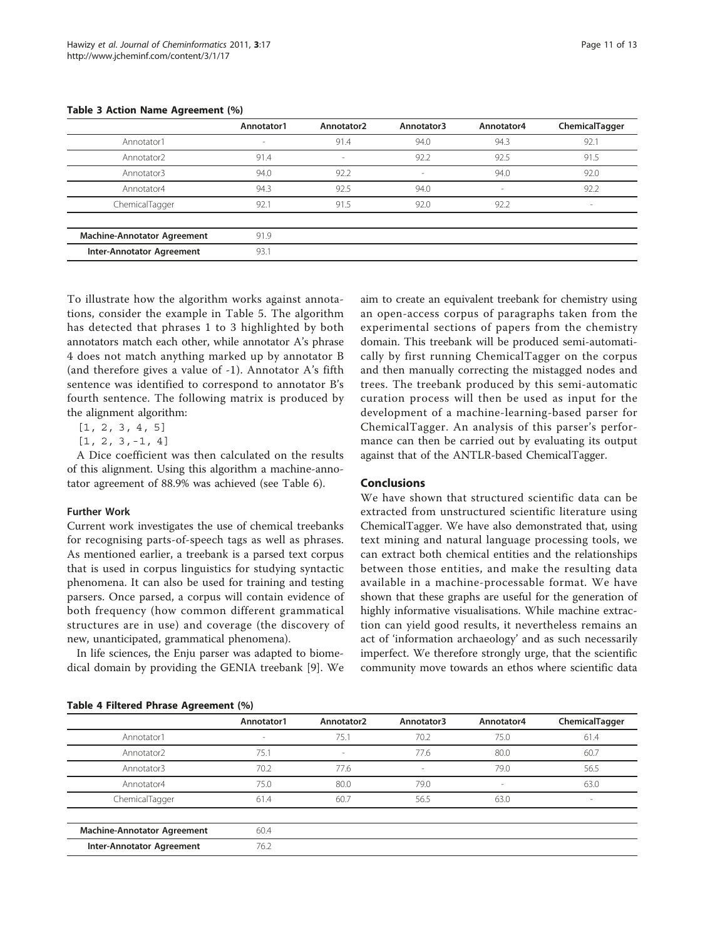|                                    | Annotator1               | Annotator <sub>2</sub> | Annotator3               | Annotator4 | ChemicalTagger |
|------------------------------------|--------------------------|------------------------|--------------------------|------------|----------------|
| Annotator1                         | $\overline{\phantom{a}}$ | 91.4                   | 94.0                     | 94.3       | 92.1           |
| Annotator <sub>2</sub>             | 91.4                     | $\sim$                 | 92.2                     | 92.5       | 91.5           |
| Annotator3                         | 94.0                     | 92.2                   | $\overline{\phantom{a}}$ | 94.0       | 92.0           |
| Annotator4                         | 94.3                     | 92.5                   | 94.0                     | $\sim$     | 92.2           |
| ChemicalTagger                     | 92.1                     | 91.5                   | 92.0                     | 92.2       | $\,$           |
|                                    |                          |                        |                          |            |                |
| <b>Machine-Annotator Agreement</b> | 91.9                     |                        |                          |            |                |
| Inter-Annotator Agreement          | 93.1                     |                        |                          |            |                |

#### <span id="page-10-0"></span>Table 3 Action Name Agreement (%)

To illustrate how the algorithm works against annotations, consider the example in Table [5](#page-11-0). The algorithm has detected that phrases 1 to 3 highlighted by both annotators match each other, while annotator A's phrase 4 does not match anything marked up by annotator B (and therefore gives a value of -1). Annotator A's fifth sentence was identified to correspond to annotator B's fourth sentence. The following matrix is produced by the alignment algorithm:

[1, 2, 3, 4, 5]

 $[1, 2, 3, -1, 4]$ 

A Dice coefficient was then calculated on the results of this alignment. Using this algorithm a machine-annotator agreement of 88.9% was achieved (see Table [6\)](#page-11-0).

#### Further Work

Current work investigates the use of chemical treebanks for recognising parts-of-speech tags as well as phrases. As mentioned earlier, a treebank is a parsed text corpus that is used in corpus linguistics for studying syntactic phenomena. It can also be used for training and testing parsers. Once parsed, a corpus will contain evidence of both frequency (how common different grammatical structures are in use) and coverage (the discovery of new, unanticipated, grammatical phenomena).

In life sciences, the Enju parser was adapted to biomedical domain by providing the GENIA treebank [\[9](#page-12-0)]. We

aim to create an equivalent treebank for chemistry using an open-access corpus of paragraphs taken from the experimental sections of papers from the chemistry domain. This treebank will be produced semi-automatically by first running ChemicalTagger on the corpus and then manually correcting the mistagged nodes and trees. The treebank produced by this semi-automatic curation process will then be used as input for the development of a machine-learning-based parser for ChemicalTagger. An analysis of this parser's performance can then be carried out by evaluating its output against that of the ANTLR-based ChemicalTagger.

#### Conclusions

We have shown that structured scientific data can be extracted from unstructured scientific literature using ChemicalTagger. We have also demonstrated that, using text mining and natural language processing tools, we can extract both chemical entities and the relationships between those entities, and make the resulting data available in a machine-processable format. We have shown that these graphs are useful for the generation of highly informative visualisations. While machine extraction can yield good results, it nevertheless remains an act of 'information archaeology' and as such necessarily imperfect. We therefore strongly urge, that the scientific community move towards an ethos where scientific data

|                                    | Annotator1 | Annotator2               | Annotator3               | Annotator4 | ChemicalTagger           |
|------------------------------------|------------|--------------------------|--------------------------|------------|--------------------------|
| Annotator1                         | $\sim$     | 75.1                     | 70.2                     | 75.0       | 61.4                     |
| Annotator2                         | 75.1       | $\overline{\phantom{a}}$ | 77.6                     | 80.0       | 60.7                     |
| Annotator3                         | 70.2       | 77.6                     | $\overline{\phantom{a}}$ | 79.0       | 56.5                     |
| Annotator4                         | 75.0       | 80.0                     | 79.0                     | $\sim$     | 63.0                     |
| ChemicalTagger                     | 61.4       | 60.7                     | 56.5                     | 63.0       | $\overline{\phantom{a}}$ |
| <b>Machine-Annotator Agreement</b> | 60.4       |                          |                          |            |                          |
| <b>Inter-Annotator Agreement</b>   | 76.2       |                          |                          |            |                          |

## Table 4 Filtered Phrase Agreement (%)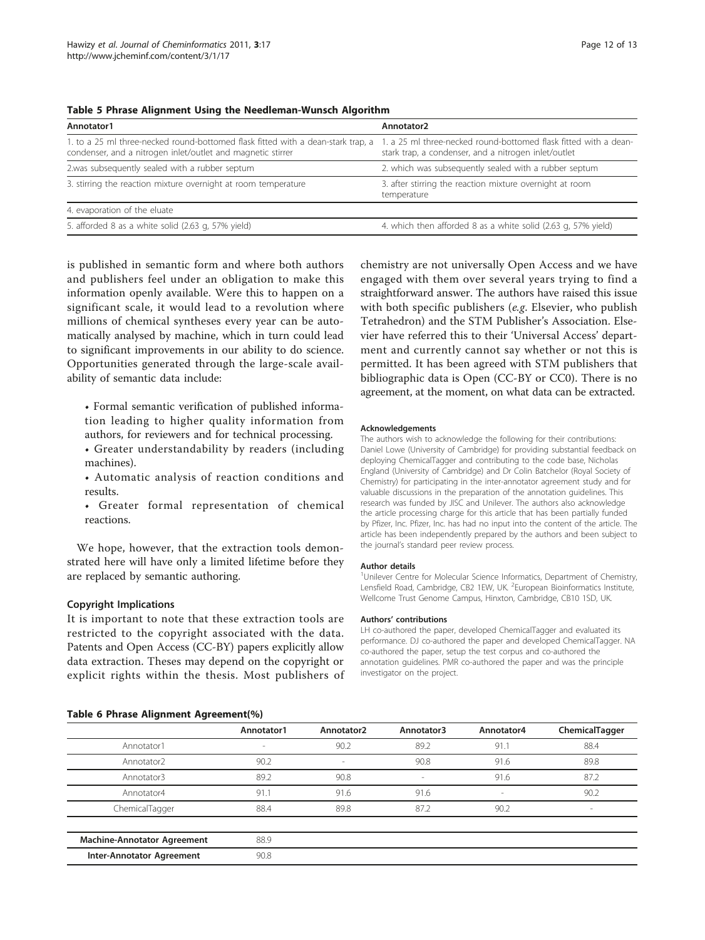| Annotator1                                                                                                                                                                                                       | Annotator <sub>2</sub>                                                  |
|------------------------------------------------------------------------------------------------------------------------------------------------------------------------------------------------------------------|-------------------------------------------------------------------------|
| 1. to a 25 ml three-necked round-bottomed flask fitted with a dean-stark trap, a 1. a 25 ml three-necked round-bottomed flask fitted with a dean-<br>condenser, and a nitrogen inlet/outlet and magnetic stirrer | stark trap, a condenser, and a nitrogen inlet/outlet                    |
| 2.was subsequently sealed with a rubber septum                                                                                                                                                                   | 2. which was subsequently sealed with a rubber septum                   |
| 3. stirring the reaction mixture overnight at room temperature                                                                                                                                                   | 3. after stirring the reaction mixture overnight at room<br>temperature |
| 4. evaporation of the eluate                                                                                                                                                                                     |                                                                         |
| 5. afforded 8 as a white solid (2.63 g, 57% yield)                                                                                                                                                               | 4. which then afforded 8 as a white solid (2.63 g, 57% yield)           |

<span id="page-11-0"></span>Table 5 Phrase Alignment Using the Needleman-Wunsch Algorithm

is published in semantic form and where both authors and publishers feel under an obligation to make this information openly available. Were this to happen on a significant scale, it would lead to a revolution where millions of chemical syntheses every year can be automatically analysed by machine, which in turn could lead to significant improvements in our ability to do science. Opportunities generated through the large-scale availability of semantic data include:

• Formal semantic verification of published information leading to higher quality information from authors, for reviewers and for technical processing.

- Greater understandability by readers (including machines).
- Automatic analysis of reaction conditions and results.
- Greater formal representation of chemical reactions.

We hope, however, that the extraction tools demonstrated here will have only a limited lifetime before they are replaced by semantic authoring.

#### Copyright Implications

It is important to note that these extraction tools are restricted to the copyright associated with the data. Patents and Open Access (CC-BY) papers explicitly allow data extraction. Theses may depend on the copyright or explicit rights within the thesis. Most publishers of chemistry are not universally Open Access and we have engaged with them over several years trying to find a straightforward answer. The authors have raised this issue with both specific publishers (e.g. Elsevier, who publish Tetrahedron) and the STM Publisher's Association. Elsevier have referred this to their 'Universal Access' department and currently cannot say whether or not this is permitted. It has been agreed with STM publishers that bibliographic data is Open (CC-BY or CC0). There is no agreement, at the moment, on what data can be extracted.

#### Acknowledgements

The authors wish to acknowledge the following for their contributions: Daniel Lowe (University of Cambridge) for providing substantial feedback on deploying ChemicalTagger and contributing to the code base, Nicholas England (University of Cambridge) and Dr Colin Batchelor (Royal Society of Chemistry) for participating in the inter-annotator agreement study and for valuable discussions in the preparation of the annotation guidelines. This research was funded by JISC and Unilever. The authors also acknowledge the article processing charge for this article that has been partially funded by Pfizer, Inc. Pfizer, Inc. has had no input into the content of the article. The article has been independently prepared by the authors and been subject to the journal's standard peer review process.

#### Author details

<sup>1</sup>Unilever Centre for Molecular Science Informatics, Department of Chemistry Lensfield Road, Cambridge, CB2 1EW, UK. <sup>2</sup>European Bioinformatics Institute Wellcome Trust Genome Campus, Hinxton, Cambridge, CB10 1SD, UK.

#### Authors' contributions

LH co-authored the paper, developed ChemicalTagger and evaluated its performance. DJ co-authored the paper and developed ChemicalTagger. NA co-authored the paper, setup the test corpus and co-authored the annotation guidelines. PMR co-authored the paper and was the principle investigator on the project.

## Table 6 Phrase Alignment Agreement(%)

| Table of Fillase Allynniellt Agreement (70) |                          |                        |                          |                          |                          |
|---------------------------------------------|--------------------------|------------------------|--------------------------|--------------------------|--------------------------|
|                                             | Annotator1               | Annotator <sub>2</sub> | Annotator3               | Annotator4               | ChemicalTagger           |
| Annotator1                                  | $\overline{\phantom{a}}$ | 90.2                   | 89.2                     | 91.1                     | 88.4                     |
| Annotator <sub>2</sub>                      | 90.2                     | $\sim$                 | 90.8                     | 91.6                     | 89.8                     |
| Annotator3                                  | 89.2                     | 90.8                   | $\overline{\phantom{a}}$ | 91.6                     | 87.2                     |
| Annotator4                                  | 91.1                     | 91.6                   | 91.6                     | $\overline{\phantom{a}}$ | 90.2                     |
| ChemicalTagger                              | 88.4                     | 89.8                   | 87.2                     | 90.2                     | $\overline{\phantom{a}}$ |
|                                             |                          |                        |                          |                          |                          |
| <b>Machine-Annotator Agreement</b>          | 88.9                     |                        |                          |                          |                          |
| Inter-Annotator Agreement                   | 90.8                     |                        |                          |                          |                          |